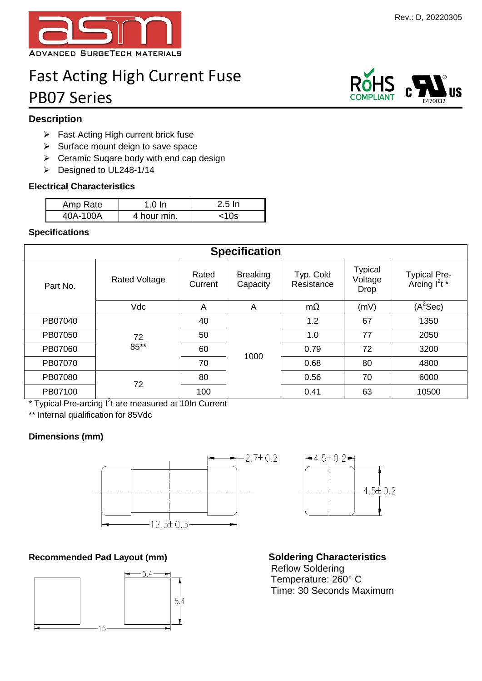

# Fast Acting High Current Fuse PB07 Series

# **Description**

- $\triangleright$  Fast Acting High current brick fuse
- $\triangleright$  Surface mount deign to save space
- $\triangleright$  Ceramic Suqare body with end cap design
- Designed to UL248-1/14

#### **Electrical Characteristics**

| Amp Rate | $1.0 \ln$   | -2.5 In |
|----------|-------------|---------|
| 40A-100A | 4 hour min. | <10s    |

#### **Specifications**

| <b>Specification</b> |                      |                  |                             |                         |                                          |                                           |  |
|----------------------|----------------------|------------------|-----------------------------|-------------------------|------------------------------------------|-------------------------------------------|--|
| Part No.             | <b>Rated Voltage</b> | Rated<br>Current | <b>Breaking</b><br>Capacity | Typ. Cold<br>Resistance | <b>Typical</b><br>Voltage<br><b>Drop</b> | Typical Pre-<br>Arcing l <sup>2</sup> t * |  |
|                      | <b>Vdc</b>           | A                | A                           | $m\Omega$               | (mV)                                     | $(A^2$ Sec)                               |  |
| PB07040              | 72<br>85**           | 40               |                             | 1.2                     | 67                                       | 1350                                      |  |
| PB07050              |                      | 50               |                             | 1.0                     | 77                                       | 2050                                      |  |
| PB07060              |                      | 60               | 1000                        | 0.79                    | 72                                       | 3200                                      |  |
| PB07070              |                      | 70               |                             | 0.68                    | 80                                       | 4800                                      |  |
| PB07080              | 72                   | 80               |                             | 0.56                    | 70                                       | 6000                                      |  |
| PB07100              |                      | 100              |                             | 0.41                    | 63                                       | 10500                                     |  |

\* Typical Pre-arcing I<sup>2</sup>t are measured at 10In Current

\*\* Internal qualification for 85Vdc

### **Dimensions (mm)**



# **Recommended Pad Layout (mm) Soldering Characteristics**





Reflow Soldering Temperature: 260° C Time: 30 Seconds Maximum

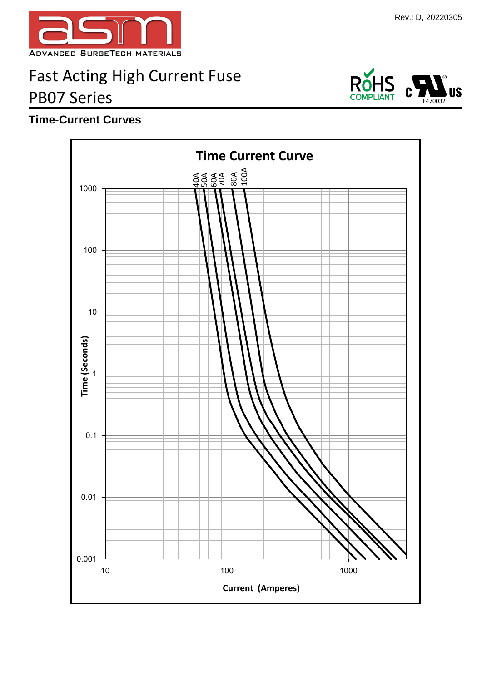

# Fast Acting High Current Fuse PB07 Series

# **Time-Current Curves**